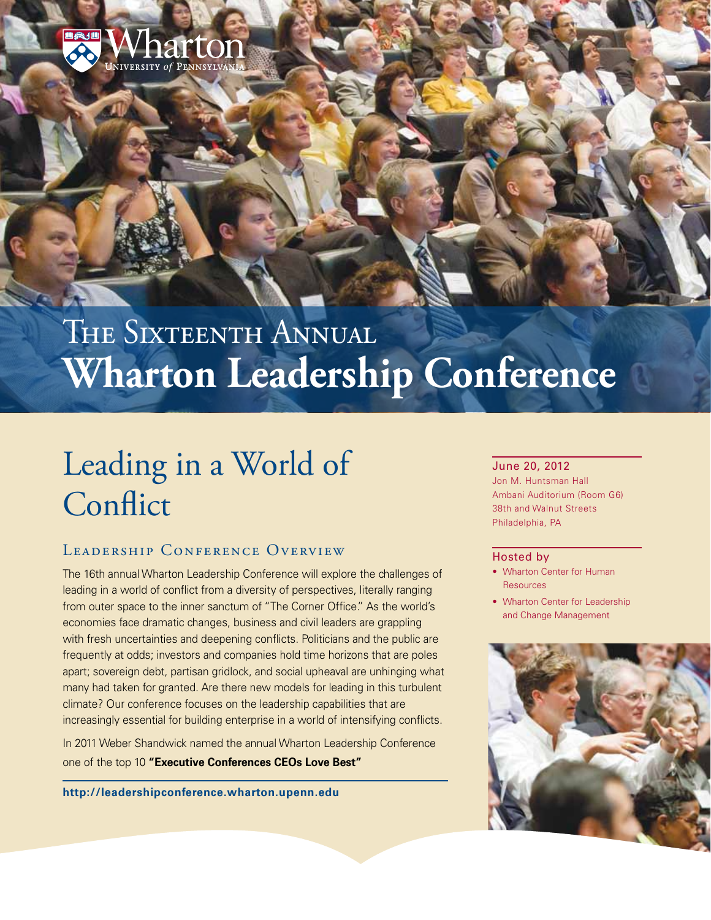

# THE SIXTEENTH ANNUAL **Wharton Leadership Conference**

# Leading in a World of **Conflict**

### LEADERSHIP CONFERENCE OVERVIEW

The 16th annual Wharton Leadership Conference will explore the challenges of leading in a world of conflict from a diversity of perspectives, literally ranging from outer space to the inner sanctum of "The Corner Office." As the world's economies face dramatic changes, business and civil leaders are grappling with fresh uncertainties and deepening conflicts. Politicians and the public are frequently at odds; investors and companies hold time horizons that are poles apart; sovereign debt, partisan gridlock, and social upheaval are unhinging what many had taken for granted. Are there new models for leading in this turbulent climate? Our conference focuses on the leadership capabilities that are increasingly essential for building enterprise in a world of intensifying conflicts.

In 2011 Weber Shandwick named the annual Wharton Leadership Conference one of the top 10 **["Executive Conferences CEOs Love Best"](http://www.forbes.com/2011/01/25/ceos-favorite-executive-conferences-leadership-ceonetwork-women.html)**

**<http://leadershipconference.wharton.upenn.edu>**

#### June 20, 2012

Jon M. Huntsman Hall Ambani Auditorium (Room G6) 38th and Walnut Streets Philadelphia, PA

#### Hosted by

- Wharton Center for Human **Resources**
- Wharton Center for Leadership and Change Management